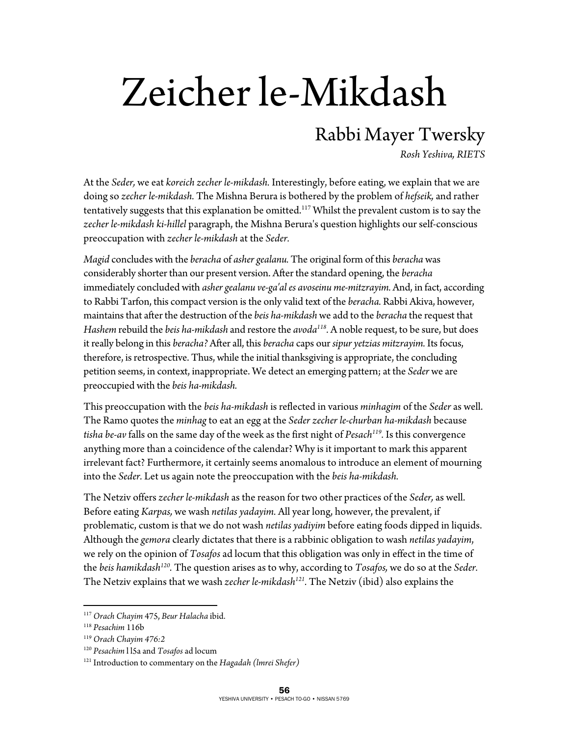## Zeicher le-Mikdash

## Rabbi Mayer Twersky

*Rosh Yeshiva, RIETS* 

At the *Seder,* we eat *koreich zecher le-mikdash.* Interestingly, before eating, we explain that we are doing so *zecher le-mikdash.* The Mishna Berura is bothered by the problem of *hefseik,* and rather tentatively suggests that this explanation be omitted.<sup>117</sup> Whilst the prevalent custom is to say the *zecher le-mikdash ki-hillel* paragraph, the Mishna Berura's question highlights our self-conscious preoccupation with *zecher le-mikdash* at the *Seder.* 

*Magid* concludes with the *beracha* of *asher gealanu.* The original form of this *beracha* was considerably shorter than our present version. After the standard opening, the *beracha*  immediately concluded with *asher gealanu ve-ga'al es avoseinu me-mitzrayim.* And, in fact, according to Rabbi Tarfon, this compact version is the only valid text of the *beracha.* Rabbi Akiva, however, maintains that after the destruction of the *beis ha-mikdash* we add to the *beracha* the request that *Hashem* rebuild the *beis ha-mikdash* and restore the *avoda118.* A noble request, to be sure, but does it really belong in this *beracha?* After all, this *beracha* caps our *sipur yetzias mitzrayim.* Its focus, therefore, is retrospective. Thus, while the initial thanksgiving is appropriate, the concluding petition seems, in context, inappropriate. We detect an emerging pattern; at the *Seder* we are preoccupied with the *beis ha-mikdash.* 

This preoccupation with the *beis ha-mikdash* is reflected in various *minhagim* of the *Seder* as well. The Ramo quotes the *minhag* to eat an egg at the *Seder zecher le-churban ha-mikdash* because *tisha be-av* falls on the same day of the week as the first night of *Pesach119.* Is this convergence anything more than a coincidence of the calendar? Why is it important to mark this apparent irrelevant fact? Furthermore, it certainly seems anomalous to introduce an element of mourning into the *Seder.* Let us again note the preoccupation with the *beis ha-mikdash.* 

The Netziv offers *zecher le-mikdash* as the reason for two other practices of the *Seder,* as well. Before eating *Karpas,* we wash *netilas yadayim.* All year long, however, the prevalent, if problematic, custom is that we do not wash *netilas yadiyim* before eating foods dipped in liquids. Although the *gemora* clearly dictates that there is a rabbinic obligation to wash *netilas yadayim*, we rely on the opinion of *Tosafos* ad locum that this obligation was only in effect in the time of the *beis hamikdash120.* The question arises as to why, according to *Tosafos,* we do so at the *Seder.*  The Netziv explains that we wash *zecher le-mikdash121.* The Netziv (ibid) also explains the

<u>.</u>

<sup>117</sup> *Orach Chayim* 475, *Beur Halacha* ibid. 118 *Pesachim* 116b 119 *Orach Chayim 476:2*

<sup>&</sup>lt;sup>120</sup> *Pesachim* 115a and *Tosafos* ad locum<br><sup>121</sup> Introduction to commentary on the *Hagadah (lmrei Shefer)*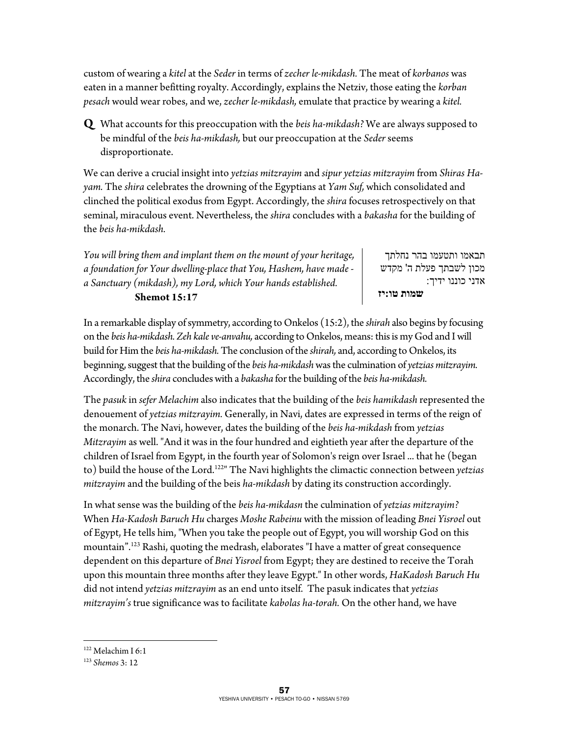custom of wearing a *kitel* at the *Seder* in terms of *zecher le-mikdash.* The meat of *korbanos* was eaten in a manner befitting royalty. Accordingly, explains the Netziv, those eating the *korban pesach* would wear robes, and we, *zecher le-mikdash,* emulate that practice by wearing a *kitel.* 

**Q** What accounts for this preoccupation with the *beis ha-mikdash?* We are always supposed to be mindful of the *beis ha-mikdash,* but our preoccupation at the *Seder* seems disproportionate.

We can derive a crucial insight into *yetzias mitzrayim* and *sipur yetzias mitzrayim* from *Shiras Hayam.* The *shira* celebrates the drowning of the Egyptians at *Yam Suf,* which consolidated and clinched the political exodus from Egypt. Accordingly, the *shira* focuses retrospectively on that seminal, miraculous event. Nevertheless, the *shira* concludes with a *bakasha* for the building of the *beis ha-mikdash.* 

*You will bring them and implant them on the mount of your heritage, a foundation for Your dwelling-place that You, Hashem, have made a Sanctuary (mikdash), my Lord, which Your hands established.*   **Shemot 15:17** 

תבאמו ותטעמו בהר נחלתך מכון לשבתך פעלת ה' מקדש אדני כוננו ידיך:  **שמות טו:יז**

In a remarkable display of symmetry, according to Onkelos (15:2), the *shirah* also begins by focusing on the *beis ha-mikdash. Zeh kale ve-anvahu,* according to Onkelos, means: this is my God and I will build for Him the *beis ha-mikdash.* The conclusion of the *shirah,* and, according to Onkelos, its beginning, suggest that the building of the *beis ha-mikdash* was the culmination of *yetzias mitzrayim.*  Accordingly, the *shira* concludes with a *bakasha* for the building of the *beis ha-mikdash.* 

The *pasuk* in *sefer Melachim* also indicates that the building of the *beis hamikdash* represented the denouement of *yetzias mitzrayim.* Generally, in Navi, dates are expressed in terms of the reign of the monarch. The Navi, however, dates the building of the *beis ha-mikdash* from *yetzias Mitzrayim* as well. "And it was in the four hundred and eightieth year after the departure of the children of Israel from Egypt, in the fourth year of Solomon's reign over Israel ... that he (began to) build the house of the Lord.122" The Navi highlights the climactic connection between *yetzias mitzrayim* and the building of the beis *ha-mikdash* by dating its construction accordingly.

In what sense was the building of the *beis ha-mikdasn* the culmination of *yetzias mitzrayim?*  When *Ha-Kadosh Baruch Hu* charges *Moshe Rabeinu* with the mission of leading *Bnei Yisroel* out of Egypt, He tells him, "When you take the people out of Egypt, you will worship God on this mountain".123 Rashi, quoting the medrash, elaborates "I have a matter of great consequence dependent on this departure of *Bnei Yisroel* from Egypt; they are destined to receive the Torah upon this mountain three months after they leave Egypt." In other words, *HaKadosh Baruch Hu*  did not intend *yetzias mitzrayim* as an end unto itself. The pasuk indicates that *yetzias mitzrayim's* true significance was to facilitate *kabolas ha-torah.* On the other hand, we have

 $\overline{a}$ 

<sup>122</sup> Melachim I 6:1

<sup>123</sup> *Shemos* 3: 12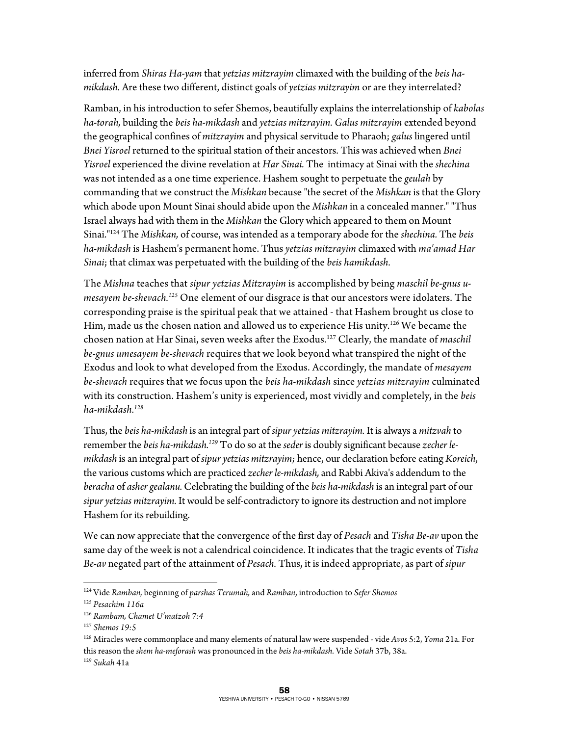inferred from *Shiras Ha-yam* that *yetzias mitzrayim* climaxed with the building of the *beis hamikdash.* Are these two different, distinct goals of *yetzias mitzrayim* or are they interrelated?

Ramban, in his introduction to sefer Shemos, beautifully explains the interrelationship of *kabolas ha-torah,* building the *beis ha-mikdash* and *yetzias mitzrayim. Galus mitzrayim* extended beyond the geographical confines of *mitzrayim* and physical servitude to Pharaoh; *galus* lingered until *Bnei Yisroel* returned to the spiritual station of their ancestors. This was achieved when *Bnei Yisroel* experienced the divine revelation at *Har Sinai.* The intimacy at Sinai with the *shechina*  was not intended as a one time experience. Hashem sought to perpetuate the *geulah* by commanding that we construct the *Mishkan* because "the secret of the *Mishkan* is that the Glory which abode upon Mount Sinai should abide upon the *Mishkan* in a concealed manner." "Thus Israel always had with them in the *Mishkan* the Glory which appeared to them on Mount Sinai."124 The *Mishkan,* of course, was intended as a temporary abode for the *shechina.* The *beis ha-mikdash* is Hashem's permanent home. Thus *yetzias mitzrayim* climaxed with *ma'amad Har Sinai*; that climax was perpetuated with the building of the *beis hamikdash.* 

The *Mishna* teaches that *sipur yetzias Mitzrayim* is accomplished by being *maschil be-gnus umesayem be-shevach.125* One element of our disgrace is that our ancestors were idolaters. The corresponding praise is the spiritual peak that we attained - that Hashem brought us close to Him, made us the chosen nation and allowed us to experience His unity.<sup>126</sup> We became the chosen nation at Har Sinai, seven weeks after the Exodus.127 Clearly, the mandate of *maschil be-gnus umesayem be-shevach* requires that we look beyond what transpired the night of the Exodus and look to what developed from the Exodus. Accordingly, the mandate of *mesayem be-shevach* requires that we focus upon the *beis ha-mikdash* since *yetzias mitzrayim* culminated with its construction. Hashem's unity is experienced, most vividly and completely, in the *beis ha-mikdash.128*

Thus, the *beis ha-mikdash* is an integral part of *sipur yetzias mitzrayim.* It is always a *mitzvah* to remember the *beis ha-mikdash.129* To do so at the *seder* is doubly significant because *zecher lemikdash* is an integral part of *sipur yetzias mitzrayim;* hence, our declaration before eating *Koreich*, the various customs which are practiced *zecher le-mikdash,* and Rabbi Akiva's addendum to the *beracha* of *asher gealanu.* Celebrating the building of the *beis ha-mikdash* is an integral part of our *sipur yetzias mitzrayim.* It would be self-contradictory to ignore its destruction and not implore Hashem for its rebuilding.

We can now appreciate that the convergence of the first day of *Pesach* and *Tisha Be-av* upon the same day of the week is not a calendrical coincidence. It indicates that the tragic events of *Tisha Be-av* negated part of the attainment of *Pesach.* Thus, it is indeed appropriate, as part of *sipur* 

<u>.</u>

128 Miracles were commonplace and many elements of natural law were suspended - vide *Avos* 5:2, *Yoma* 21a. For this reason the *shem ha-meforash* was pronounced in the *beis ha-mikdash.* Vide *Sotah* 37b, 38a. 129 *Sukah* 41a

<sup>124</sup> Vide *Ramban,* beginning of *parshas Terumah,* and *Ramban*, introduction to *Sefer Shemos*

<sup>125</sup> *Pesachim 116a*

<sup>126</sup> *Rambam, Chamet U'matzoh 7:4*

<sup>127</sup> *Shemos 19:5*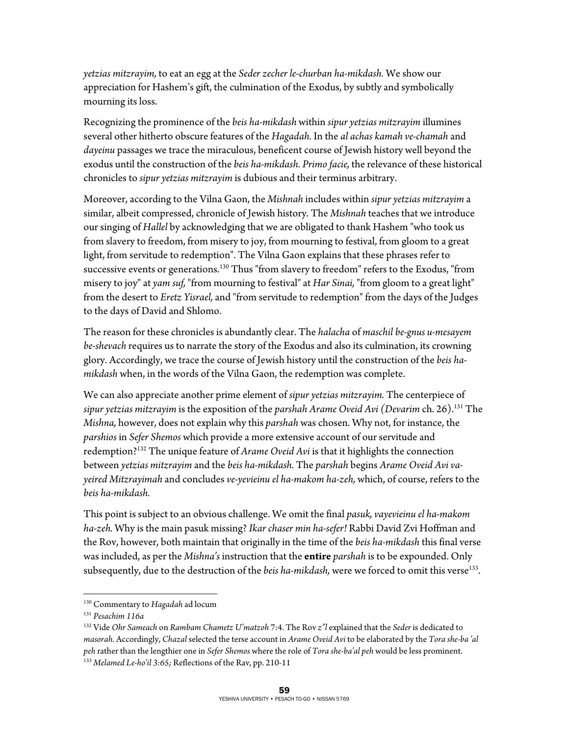*yetzias mitzrayim,* to eat an egg at the *Seder zecher le-churban ha-mikdash.* We show our appreciation for Hashem's gift, the culmination of the Exodus, by subtly and symbolically mourning its loss.

Recognizing the prominence of the *beis ha-mikdash* within *sipur yetzias mitzrayim* illumines several other hitherto obscure features of the *Hagadah.* In the *al achas kamah ve-chamah* and *dayeinu* passages we trace the miraculous, beneficent course of Jewish history well beyond the exodus until the construction of the *beis ha-mikdash. Primo facie,* the relevance of these historical chronicles to *sipur yetzias mitzrayim* is dubious and their terminus arbitrary.

Moreover, according to the Vilna Gaon, the *Mishnah* includes within *sipur yetzias mitzrayim* a similar, albeit compressed, chronicle of Jewish history. The *Mishnah* teaches that we introduce our singing of *Hallel* by acknowledging that we are obligated to thank Hashem "who took us from slavery to freedom, from misery to joy, from mourning to festival, from gloom to a great light, from servitude to redemption". The Vilna Gaon explains that these phrases refer to successive events or generations.130 Thus "from slavery to freedom" refers to the Exodus, "from misery to joy" at *yam suf,* "from mourning to festival" at *Har Sinai,* "from gloom to a great light" from the desert to *Eretz Yisrael,* and "from servitude to redemption" from the days of the Judges to the days of David and Shlomo.

The reason for these chronicles is abundantly clear. The *halacha* of *maschil be-gnus u-mesayem be-shevach* requires us to narrate the story of the Exodus and also its culmination, its crowning glory. Accordingly, we trace the course of Jewish history until the construction of the *beis hamikdash* when, in the words of the Vilna Gaon, the redemption was complete.

We can also appreciate another prime element of *sipur yetzias mitzrayim.* The centerpiece of *sipur yetzias mitzrayim* is the exposition of the *parshah Arame Oveid Avi (Devarim* ch. 26).131 The *Mishna,* however, does not explain why this *parshah* was chosen. Why not, for instance, the *parshios* in *Sefer Shemos* which provide a more extensive account of our servitude and redemption?132 The unique feature of *Arame Oveid Avi* is that it highlights the connection between *yetzias mitzrayim* and the *beis ha-mikdash.* The *parshah* begins *Arame Oveid Avi vayeired Mitzrayimah* and concludes *ve-yevieinu el ha-makom ha-zeh,* which, of course, refers to the *beis ha-mikdash.* 

This point is subject to an obvious challenge. We omit the final *pasuk, vayevieinu el ha-makom ha-zeh.* Why is the main pasuk missing? *Ikar chaser min ha-sefer!* Rabbi David Zvi Hoffman and the Rov, however, both maintain that originally in the time of the *beis ha-mikdash* this final verse was included, as per the *Mishna's* instruction that the **entire** *parshah* is to be expounded. Only subsequently, due to the destruction of the *beis ha-mikdash*, were we forced to omit this verse<sup>133</sup>.

 $\overline{a}$ 

<sup>130</sup> Commentary to *Hagadah* ad locum 131 *Pesachim 116a*

<sup>132</sup> Vide *Ohr Sameach* on *Rambam Chametz U'matzoh* 7:4. The Rov *z"l* explained that the *Seder* is dedicated to *masorah.* Accordingly, *Chazal* selected the terse account in *Arame Oveid Avi* to be elaborated by the *Tora she-ba 'al peh* rather than the lengthier one in *Sefer Shemos* where the role of *Tora she-ba'al peh* would be less prominent. 133 *Melamed Le-ho'il 3:65;* Reflections of the Rav, pp. 210-11